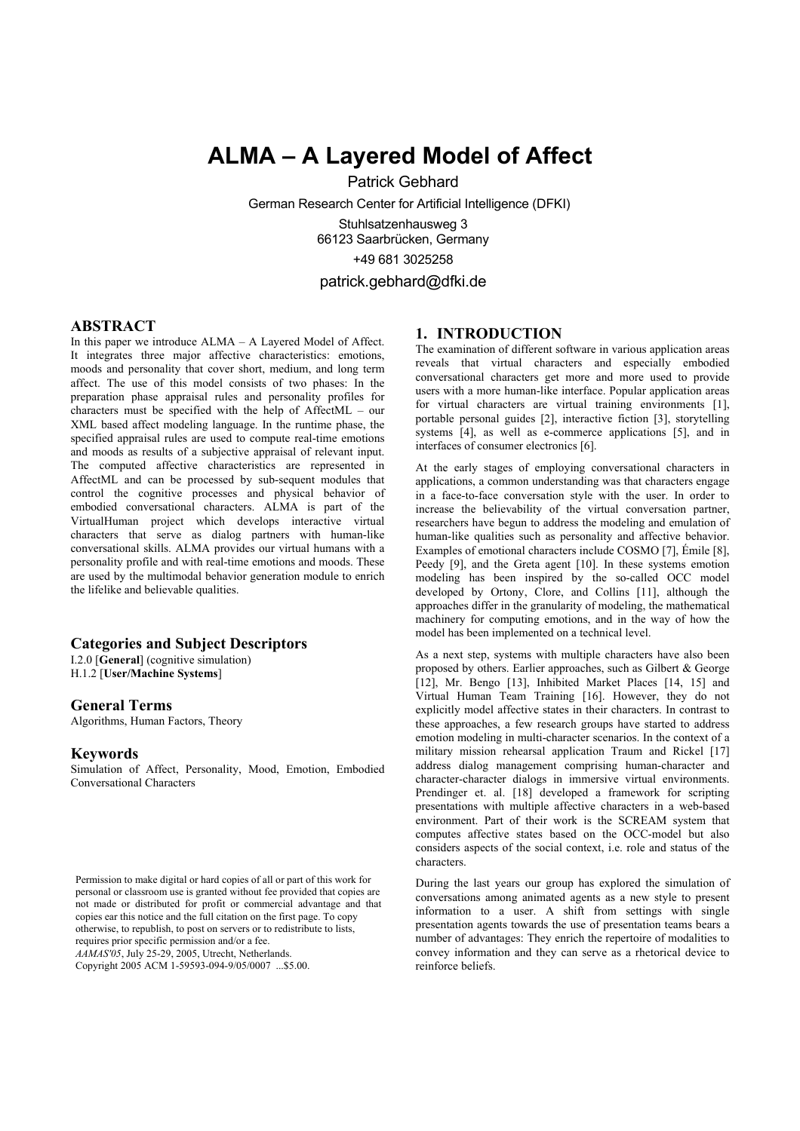# **ALMA – A Layered Model of Affect**

Patrick Gebhard German Research Center for Artificial Intelligence (DFKI) Stuhlsatzenhausweg 3 66123 Saarbrücken, Germany +49 681 3025258 patrick.gebhard@dfki.de

# **ABSTRACT**

In this paper we introduce ALMA – A Layered Model of Affect. It integrates three major affective characteristics: emotions, moods and personality that cover short, medium, and long term affect. The use of this model consists of two phases: In the preparation phase appraisal rules and personality profiles for characters must be specified with the help of AffectML – our XML based affect modeling language. In the runtime phase, the specified appraisal rules are used to compute real-time emotions and moods as results of a subjective appraisal of relevant input. The computed affective characteristics are represented in AffectML and can be processed by sub-sequent modules that control the cognitive processes and physical behavior of embodied conversational characters. ALMA is part of the VirtualHuman project which develops interactive virtual characters that serve as dialog partners with human-like conversational skills. ALMA provides our virtual humans with a personality profile and with real-time emotions and moods. These are used by the multimodal behavior generation module to enrich the lifelike and believable qualities.

# **Categories and Subject Descriptors**

I.2.0 [**General**] (cognitive simulation) H.1.2 [**User/Machine Systems**]

#### **General Terms**

Algorithms, Human Factors, Theory

## **Keywords**

Simulation of Affect, Personality, Mood, Emotion, Embodied Conversational Characters

Permission to make digital or hard copies of all or part of this work for personal or classroom use is granted without fee provided that copies are not made or distributed for profit or commercial advantage and that copies ear this notice and the full citation on the first page. To copy otherwise, to republish, to post on servers or to redistribute to lists, requires prior specific permission and/or a fee. *AAMAS'05*, July 25-29, 2005, Utrecht, Netherlands. Copyright 2005 ACM 1-59593-094-9/05/0007 ...\$5.00.

## **1. INTRODUCTION**

The examination of different software in various application areas reveals that virtual characters and especially embodied conversational characters get more and more used to provide users with a more human-like interface. Popular application areas for virtual characters are virtual training environments [1], portable personal guides [2], interactive fiction [3], storytelling systems [4], as well as e-commerce applications [5], and in interfaces of consumer electronics [6].

At the early stages of employing conversational characters in applications, a common understanding was that characters engage in a face-to-face conversation style with the user. In order to increase the believability of the virtual conversation partner, researchers have begun to address the modeling and emulation of human-like qualities such as personality and affective behavior. Examples of emotional characters include COSMO [7], Émile [8], Peedy [9], and the Greta agent [10]. In these systems emotion modeling has been inspired by the so-called OCC model developed by Ortony, Clore, and Collins [11], although the approaches differ in the granularity of modeling, the mathematical machinery for computing emotions, and in the way of how the model has been implemented on a technical level.

As a next step, systems with multiple characters have also been proposed by others. Earlier approaches, such as Gilbert & George [12], Mr. Bengo [13], Inhibited Market Places [14, 15] and Virtual Human Team Training [16]. However, they do not explicitly model affective states in their characters. In contrast to these approaches, a few research groups have started to address emotion modeling in multi-character scenarios. In the context of a military mission rehearsal application Traum and Rickel [17] address dialog management comprising human-character and character-character dialogs in immersive virtual environments. Prendinger et. al. [18] developed a framework for scripting presentations with multiple affective characters in a web-based environment. Part of their work is the SCREAM system that computes affective states based on the OCC-model but also considers aspects of the social context, i.e. role and status of the characters.

During the last years our group has explored the simulation of conversations among animated agents as a new style to present information to a user. A shift from settings with single presentation agents towards the use of presentation teams bears a number of advantages: They enrich the repertoire of modalities to convey information and they can serve as a rhetorical device to reinforce beliefs.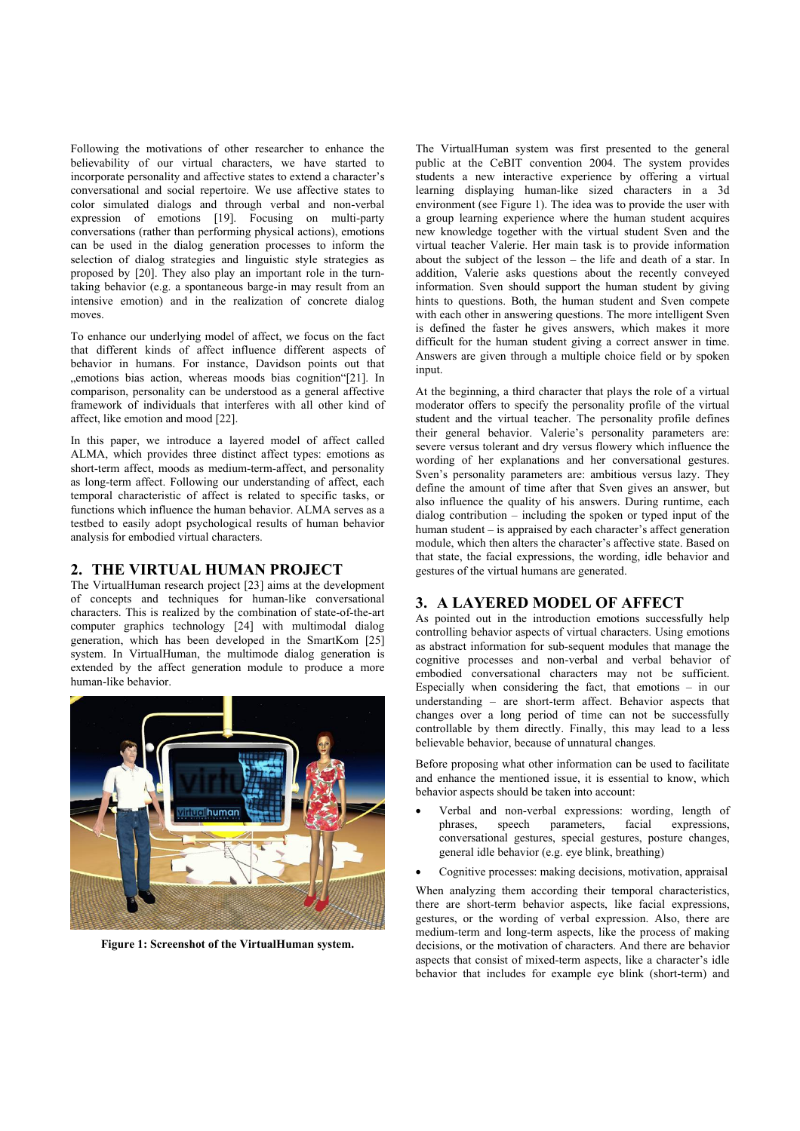Following the motivations of other researcher to enhance the believability of our virtual characters, we have started to incorporate personality and affective states to extend a character's conversational and social repertoire. We use affective states to color simulated dialogs and through verbal and non-verbal expression of emotions [19]. Focusing on multi-party conversations (rather than performing physical actions), emotions can be used in the dialog generation processes to inform the selection of dialog strategies and linguistic style strategies as proposed by [20]. They also play an important role in the turntaking behavior (e.g. a spontaneous barge-in may result from an intensive emotion) and in the realization of concrete dialog moves.

To enhance our underlying model of affect, we focus on the fact that different kinds of affect influence different aspects of behavior in humans. For instance, Davidson points out that emotions bias action, whereas moods bias cognition [21]. In comparison, personality can be understood as a general affective framework of individuals that interferes with all other kind of affect, like emotion and mood [22].

In this paper, we introduce a layered model of affect called ALMA, which provides three distinct affect types: emotions as short-term affect, moods as medium-term-affect, and personality as long-term affect. Following our understanding of affect, each temporal characteristic of affect is related to specific tasks, or functions which influence the human behavior. ALMA serves as a testbed to easily adopt psychological results of human behavior analysis for embodied virtual characters.

# **2. THE VIRTUAL HUMAN PROJECT**

The VirtualHuman research project [23] aims at the development of concepts and techniques for human-like conversational characters. This is realized by the combination of state-of-the-art computer graphics technology [24] with multimodal dialog generation, which has been developed in the SmartKom [25] system. In VirtualHuman, the multimode dialog generation is extended by the affect generation module to produce a more human-like behavior.



**Figure 1: Screenshot of the VirtualHuman system.** 

The VirtualHuman system was first presented to the general public at the CeBIT convention 2004. The system provides students a new interactive experience by offering a virtual learning displaying human-like sized characters in a 3d environment (see Figure 1). The idea was to provide the user with a group learning experience where the human student acquires new knowledge together with the virtual student Sven and the virtual teacher Valerie. Her main task is to provide information about the subject of the lesson – the life and death of a star. In addition, Valerie asks questions about the recently conveyed information. Sven should support the human student by giving hints to questions. Both, the human student and Sven compete with each other in answering questions. The more intelligent Sven is defined the faster he gives answers, which makes it more difficult for the human student giving a correct answer in time. Answers are given through a multiple choice field or by spoken input.

At the beginning, a third character that plays the role of a virtual moderator offers to specify the personality profile of the virtual student and the virtual teacher. The personality profile defines their general behavior. Valerie's personality parameters are: severe versus tolerant and dry versus flowery which influence the wording of her explanations and her conversational gestures. Sven's personality parameters are: ambitious versus lazy. They define the amount of time after that Sven gives an answer, but also influence the quality of his answers. During runtime, each dialog contribution – including the spoken or typed input of the human student – is appraised by each character's affect generation module, which then alters the character's affective state. Based on that state, the facial expressions, the wording, idle behavior and gestures of the virtual humans are generated.

## **3. A LAYERED MODEL OF AFFECT**

As pointed out in the introduction emotions successfully help controlling behavior aspects of virtual characters. Using emotions as abstract information for sub-sequent modules that manage the cognitive processes and non-verbal and verbal behavior of embodied conversational characters may not be sufficient. Especially when considering the fact, that emotions – in our understanding – are short-term affect. Behavior aspects that changes over a long period of time can not be successfully controllable by them directly. Finally, this may lead to a less believable behavior, because of unnatural changes.

Before proposing what other information can be used to facilitate and enhance the mentioned issue, it is essential to know, which behavior aspects should be taken into account:

- Verbal and non-verbal expressions: wording, length of phrases, speech parameters, facial expressions, conversational gestures, special gestures, posture changes, general idle behavior (e.g. eye blink, breathing)
- Cognitive processes: making decisions, motivation, appraisal

When analyzing them according their temporal characteristics, there are short-term behavior aspects, like facial expressions, gestures, or the wording of verbal expression. Also, there are medium-term and long-term aspects, like the process of making decisions, or the motivation of characters. And there are behavior aspects that consist of mixed-term aspects, like a character's idle behavior that includes for example eye blink (short-term) and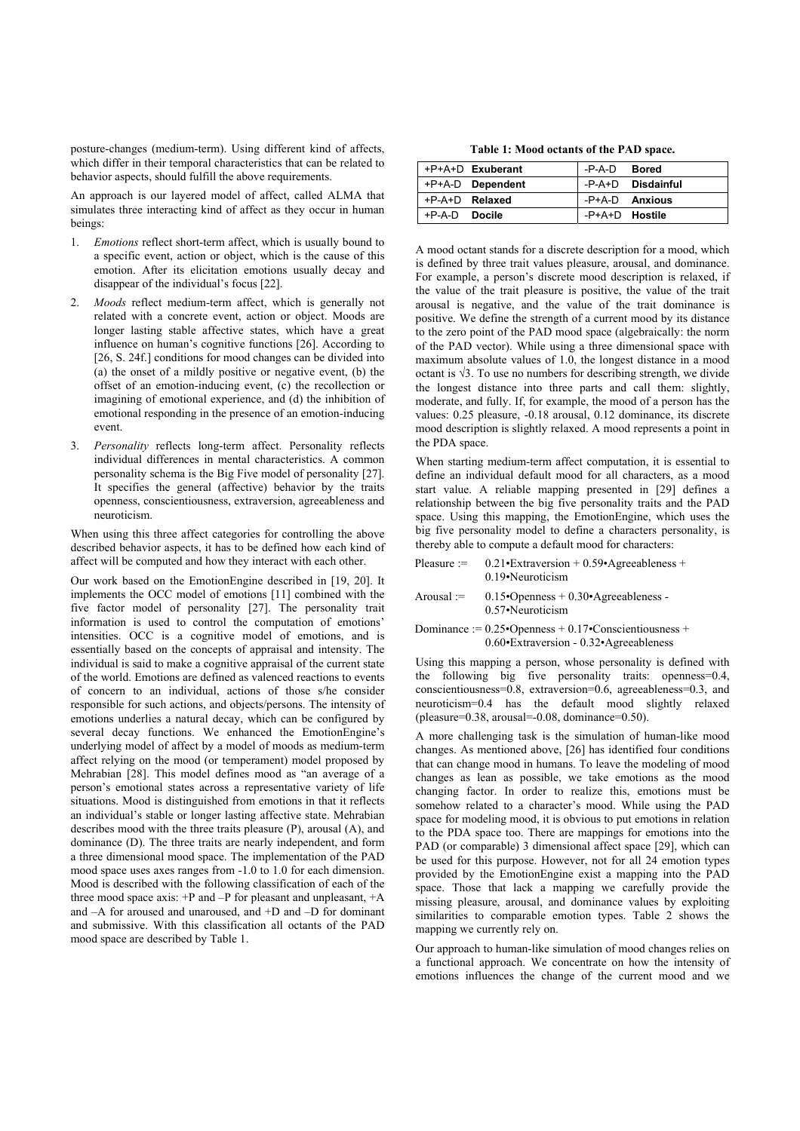posture-changes (medium-term). Using different kind of affects, which differ in their temporal characteristics that can be related to behavior aspects, should fulfill the above requirements.

An approach is our layered model of affect, called ALMA that simulates three interacting kind of affect as they occur in human beings:

- 1. *Emotions* reflect short-term affect, which is usually bound to a specific event, action or object, which is the cause of this emotion. After its elicitation emotions usually decay and disappear of the individual's focus [22].
- 2. *Moods* reflect medium-term affect, which is generally not related with a concrete event, action or object. Moods are longer lasting stable affective states, which have a great influence on human's cognitive functions [26]. According to [26, S. 24f.] conditions for mood changes can be divided into (a) the onset of a mildly positive or negative event, (b) the offset of an emotion-inducing event, (c) the recollection or imagining of emotional experience, and (d) the inhibition of emotional responding in the presence of an emotion-inducing event.
- 3. *Personality* reflects long-term affect. Personality reflects individual differences in mental characteristics. A common personality schema is the Big Five model of personality [27]. It specifies the general (affective) behavior by the traits openness, conscientiousness, extraversion, agreeableness and neuroticism.

When using this three affect categories for controlling the above described behavior aspects, it has to be defined how each kind of affect will be computed and how they interact with each other.

Our work based on the EmotionEngine described in [19, 20]. It implements the OCC model of emotions [11] combined with the five factor model of personality [27]. The personality trait information is used to control the computation of emotions' intensities. OCC is a cognitive model of emotions, and is essentially based on the concepts of appraisal and intensity. The individual is said to make a cognitive appraisal of the current state of the world. Emotions are defined as valenced reactions to events of concern to an individual, actions of those s/he consider responsible for such actions, and objects/persons. The intensity of emotions underlies a natural decay, which can be configured by several decay functions. We enhanced the EmotionEngine's underlying model of affect by a model of moods as medium-term affect relying on the mood (or temperament) model proposed by Mehrabian [28]. This model defines mood as "an average of a person's emotional states across a representative variety of life situations. Mood is distinguished from emotions in that it reflects an individual's stable or longer lasting affective state. Mehrabian describes mood with the three traits pleasure (P), arousal (A), and dominance (D). The three traits are nearly independent, and form a three dimensional mood space. The implementation of the PAD mood space uses axes ranges from -1.0 to 1.0 for each dimension. Mood is described with the following classification of each of the three mood space axis:  $+P$  and  $-P$  for pleasant and unpleasant,  $+A$ and –A for aroused and unaroused, and +D and –D for dominant and submissive. With this classification all octants of the PAD mood space are described by Table 1.

**Table 1: Mood octants of the PAD space.** 

|                      | $  +P+A+D$ Exuberant    | -P-A-D <b>Bored</b>   |                       |
|----------------------|-------------------------|-----------------------|-----------------------|
|                      | +P+A-D <b>Dependent</b> |                       | -P-A+D Disdainful     |
| +P-A+D Relaxed       |                         |                       | -P+A-D <b>Anxious</b> |
| +P-A-D <b>Docile</b> |                         | -P+A+D <b>Hostile</b> |                       |

A mood octant stands for a discrete description for a mood, which is defined by three trait values pleasure, arousal, and dominance. For example, a person's discrete mood description is relaxed, if the value of the trait pleasure is positive, the value of the trait arousal is negative, and the value of the trait dominance is positive. We define the strength of a current mood by its distance to the zero point of the PAD mood space (algebraically: the norm of the PAD vector). While using a three dimensional space with maximum absolute values of 1.0, the longest distance in a mood octant is √3. To use no numbers for describing strength, we divide the longest distance into three parts and call them: slightly, moderate, and fully. If, for example, the mood of a person has the values: 0.25 pleasure, -0.18 arousal, 0.12 dominance, its discrete mood description is slightly relaxed. A mood represents a point in the PDA space.

When starting medium-term affect computation, it is essential to define an individual default mood for all characters, as a mood start value. A reliable mapping presented in [29] defines a relationship between the big five personality traits and the PAD space. Using this mapping, the EmotionEngine, which uses the big five personality model to define a characters personality, is thereby able to compute a default mood for characters:

| $Please :=$ | $0.21\cdot$ Extraversion + 0.59 $\cdot$ Agreeableness + |
|-------------|---------------------------------------------------------|
|             | 0.19•Neuroticism                                        |

- Arousal :=  $0.15 \cdot \text{Openness} + 0.30 \cdot \text{Agreeableness}$ 0.57•Neuroticism
- Dominance :=  $0.25 \cdot$ Openness +  $0.17 \cdot$ Conscientiousness + 0.60•Extraversion - 0.32•Agreeableness

Using this mapping a person, whose personality is defined with the following big five personality traits: openness=0.4, conscientiousness=0.8, extraversion=0.6, agreeableness=0.3, and neuroticism=0.4 has the default mood slightly relaxed (pleasure=0.38, arousal=-0.08, dominance=0.50).

A more challenging task is the simulation of human-like mood changes. As mentioned above, [26] has identified four conditions that can change mood in humans. To leave the modeling of mood changes as lean as possible, we take emotions as the mood changing factor. In order to realize this, emotions must be somehow related to a character's mood. While using the PAD space for modeling mood, it is obvious to put emotions in relation to the PDA space too. There are mappings for emotions into the PAD (or comparable) 3 dimensional affect space [29], which can be used for this purpose. However, not for all 24 emotion types provided by the EmotionEngine exist a mapping into the PAD space. Those that lack a mapping we carefully provide the missing pleasure, arousal, and dominance values by exploiting similarities to comparable emotion types. Table 2 shows the mapping we currently rely on.

Our approach to human-like simulation of mood changes relies on a functional approach. We concentrate on how the intensity of emotions influences the change of the current mood and we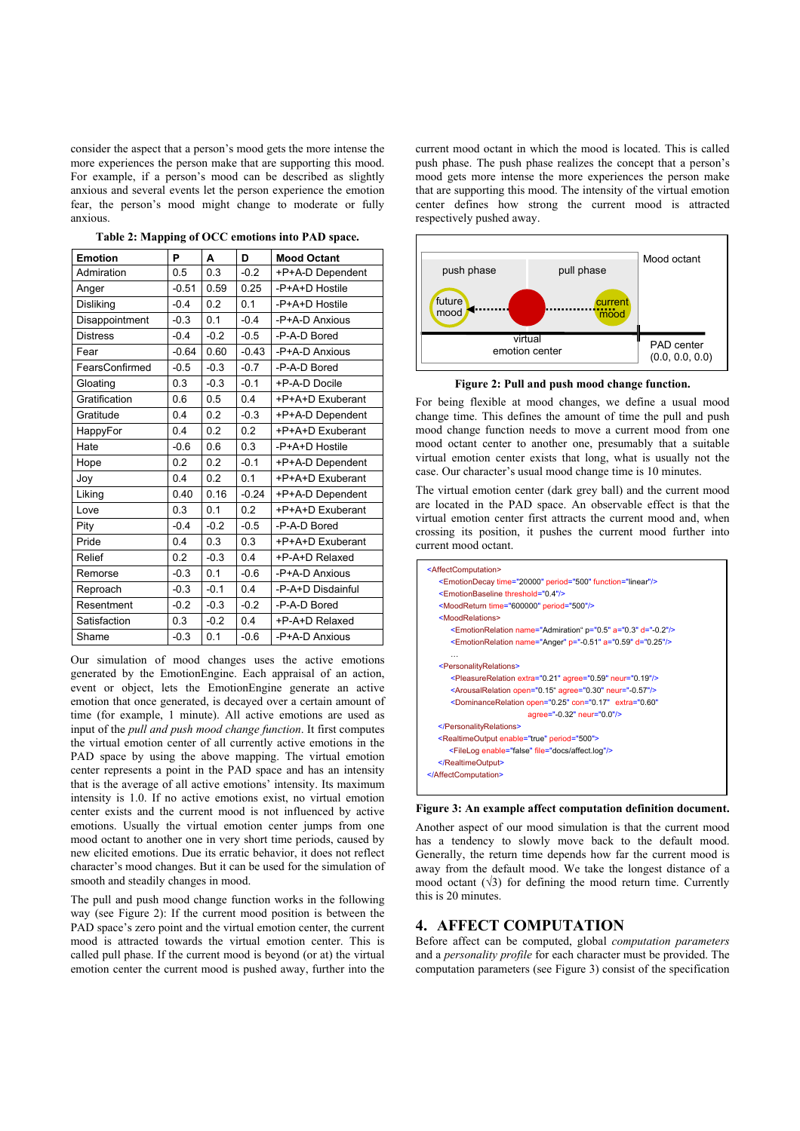consider the aspect that a person's mood gets the more intense the more experiences the person make that are supporting this mood. For example, if a person's mood can be described as slightly anxious and several events let the person experience the emotion fear, the person's mood might change to moderate or fully anxious.

| <b>Emotion</b>   | P       | A      | D       | <b>Mood Octant</b> |
|------------------|---------|--------|---------|--------------------|
| Admiration       | 0.5     | 0.3    | $-0.2$  | +P+A-D Dependent   |
| Anger            | $-0.51$ | 0.59   | 0.25    | -P+A+D Hostile     |
| <b>Disliking</b> | $-0.4$  | 0.2    | 0.1     | -P+A+D Hostile     |
| Disappointment   | $-0.3$  | 0.1    | $-0.4$  | -P+A-D Anxious     |
| <b>Distress</b>  | $-0.4$  | $-0.2$ | $-0.5$  | -P-A-D Bored       |
| Fear             | $-0.64$ | 0.60   | $-0.43$ | -P+A-D Anxious     |
| FearsConfirmed   | $-0.5$  | $-0.3$ | $-0.7$  | -P-A-D Bored       |
| Gloating         | 0.3     | $-0.3$ | $-0.1$  | +P-A-D Docile      |
| Gratification    | 0.6     | 0.5    | 0.4     | +P+A+D Exuberant   |
| Gratitude        | 0.4     | 0.2    | $-0.3$  | +P+A-D Dependent   |
| HappyFor         | 0.4     | 0.2    | 0.2     | +P+A+D Exuberant   |
| Hate             | $-0.6$  | 0.6    | 0.3     | -P+A+D Hostile     |
| Hope             | 0.2     | 0.2    | $-0.1$  | +P+A-D Dependent   |
| Joy              | 0.4     | 0.2    | 0.1     | +P+A+D Exuberant   |
| Liking           | 0.40    | 0.16   | $-0.24$ | +P+A-D Dependent   |
| Love             | 0.3     | 0.1    | 0.2     | +P+A+D Exuberant   |
| Pity             | $-0.4$  | $-0.2$ | $-0.5$  | -P-A-D Bored       |
| Pride            | 0.4     | 0.3    | 0.3     | +P+A+D Exuberant   |
| Relief           | 0.2     | $-0.3$ | 0.4     | +P-A+D Relaxed     |
| Remorse          | $-0.3$  | 0.1    | $-0.6$  | -P+A-D Anxious     |
| Reproach         | $-0.3$  | $-0.1$ | 0.4     | -P-A+D Disdainful  |
| Resentment       | $-0.2$  | $-0.3$ | $-0.2$  | -P-A-D Bored       |
| Satisfaction     | 0.3     | $-0.2$ | 0.4     | +P-A+D Relaxed     |
| Shame            | $-0.3$  | 0.1    | $-0.6$  | -P+A-D Anxious     |
|                  |         |        |         |                    |

**Table 2: Mapping of OCC emotions into PAD space.** 

Our simulation of mood changes uses the active emotions generated by the EmotionEngine. Each appraisal of an action, event or object, lets the EmotionEngine generate an active emotion that once generated, is decayed over a certain amount of time (for example, 1 minute). All active emotions are used as input of the *pull and push mood change function*. It first computes the virtual emotion center of all currently active emotions in the PAD space by using the above mapping. The virtual emotion center represents a point in the PAD space and has an intensity that is the average of all active emotions' intensity. Its maximum intensity is 1.0. If no active emotions exist, no virtual emotion center exists and the current mood is not influenced by active emotions. Usually the virtual emotion center jumps from one mood octant to another one in very short time periods, caused by new elicited emotions. Due its erratic behavior, it does not reflect character's mood changes. But it can be used for the simulation of smooth and steadily changes in mood.

The pull and push mood change function works in the following way (see Figure 2): If the current mood position is between the PAD space's zero point and the virtual emotion center, the current mood is attracted towards the virtual emotion center. This is called pull phase. If the current mood is beyond (or at) the virtual emotion center the current mood is pushed away, further into the current mood octant in which the mood is located. This is called push phase. The push phase realizes the concept that a person's mood gets more intense the more experiences the person make that are supporting this mood. The intensity of the virtual emotion center defines how strong the current mood is attracted respectively pushed away.



**Figure 2: Pull and push mood change function.** 

For being flexible at mood changes, we define a usual mood change time. This defines the amount of time the pull and push mood change function needs to move a current mood from one mood octant center to another one, presumably that a suitable virtual emotion center exists that long, what is usually not the case. Our character's usual mood change time is 10 minutes.

The virtual emotion center (dark grey ball) and the current mood are located in the PAD space. An observable effect is that the virtual emotion center first attracts the current mood and, when crossing its position, it pushes the current mood further into current mood octant.



**Figure 3: An example affect computation definition document.** 

Another aspect of our mood simulation is that the current mood has a tendency to slowly move back to the default mood. Generally, the return time depends how far the current mood is away from the default mood. We take the longest distance of a mood octant  $(\sqrt{3})$  for defining the mood return time. Currently this is 20 minutes.

## **4. AFFECT COMPUTATION**

Before affect can be computed, global *computation parameters* and a *personality profile* for each character must be provided. The computation parameters (see Figure 3) consist of the specification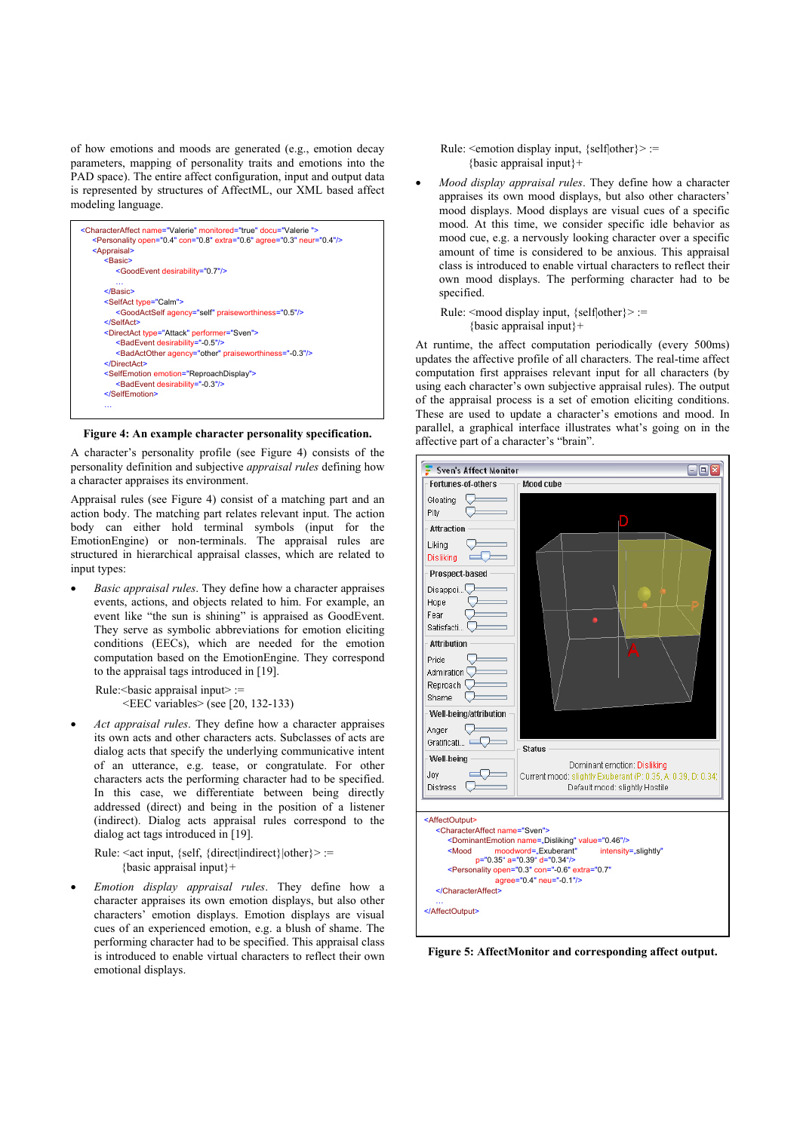of how emotions and moods are generated (e.g., emotion decay parameters, mapping of personality traits and emotions into the PAD space). The entire affect configuration, input and output data is represented by structures of AffectML, our XML based affect modeling language.



**Figure 4: An example character personality specification.** 

A character's personality profile (see Figure 4) consists of the personality definition and subjective *appraisal rules* defining how a character appraises its environment.

Appraisal rules (see Figure 4) consist of a matching part and an action body. The matching part relates relevant input. The action body can either hold terminal symbols (input for the EmotionEngine) or non-terminals. The appraisal rules are structured in hierarchical appraisal classes, which are related to input types:

• *Basic appraisal rules*. They define how a character appraises events, actions, and objects related to him. For example, an event like "the sun is shining" is appraised as GoodEvent. They serve as symbolic abbreviations for emotion eliciting conditions (EECs), which are needed for the emotion computation based on the EmotionEngine. They correspond to the appraisal tags introduced in [19].

Rule:  $\leq$ basic appraisal input $\geq$ :  $=$ <EEC variables> (see [20, 132-133)

Act *appraisal rules*. They define how a character appraises its own acts and other characters acts. Subclasses of acts are dialog acts that specify the underlying communicative intent of an utterance, e.g. tease, or congratulate. For other characters acts the performing character had to be specified. In this case, we differentiate between being directly addressed (direct) and being in the position of a listener (indirect). Dialog acts appraisal rules correspond to the dialog act tags introduced in [19].

Rule: <act input, {self, {direct|indirect}|other}> := {basic appraisal input}+

• *Emotion display appraisal rules*. They define how a character appraises its own emotion displays, but also other characters' emotion displays. Emotion displays are visual cues of an experienced emotion, e.g. a blush of shame. The performing character had to be specified. This appraisal class is introduced to enable virtual characters to reflect their own emotional displays.

Rule:  $\leq$ emotion display input,  $\leq$ self $\leq$ other $\geq$ := {basic appraisal input}+

• *Mood display appraisal rules*. They define how a character appraises its own mood displays, but also other characters' mood displays. Mood displays are visual cues of a specific mood. At this time, we consider specific idle behavior as mood cue, e.g. a nervously looking character over a specific amount of time is considered to be anxious. This appraisal class is introduced to enable virtual characters to reflect their own mood displays. The performing character had to be specified.

Rule:  $\langle \text{model} \rangle$  input,  $\langle \text{self} | \text{other} \rangle$  := {basic appraisal input}+

At runtime, the affect computation periodically (every 500ms) updates the affective profile of all characters. The real-time affect computation first appraises relevant input for all characters (by using each character's own subjective appraisal rules). The output of the appraisal process is a set of emotion eliciting conditions. These are used to update a character's emotions and mood. In parallel, a graphical interface illustrates what's going on in the affective part of a character's "brain".



**Figure 5: AffectMonitor and corresponding affect output.**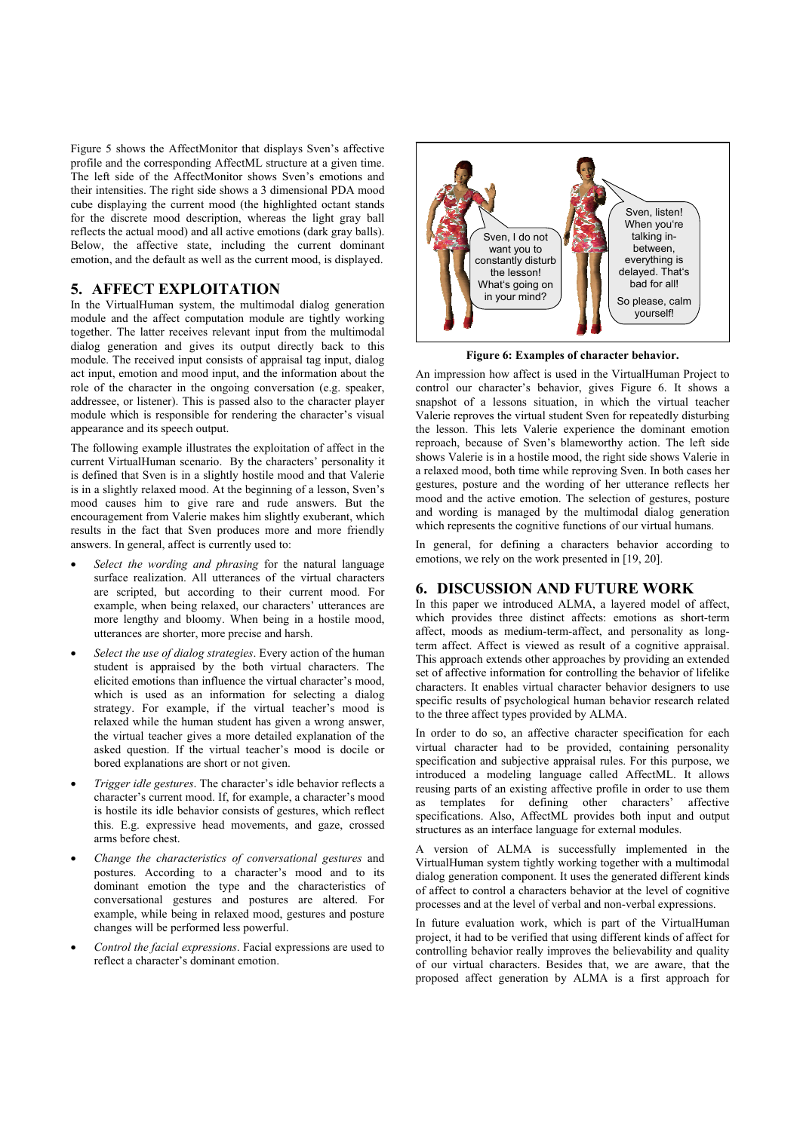Figure 5 shows the AffectMonitor that displays Sven's affective profile and the corresponding AffectML structure at a given time. The left side of the AffectMonitor shows Sven's emotions and their intensities. The right side shows a 3 dimensional PDA mood cube displaying the current mood (the highlighted octant stands for the discrete mood description, whereas the light gray ball reflects the actual mood) and all active emotions (dark gray balls). Below, the affective state, including the current dominant emotion, and the default as well as the current mood, is displayed.

## **5. AFFECT EXPLOITATION**

In the VirtualHuman system, the multimodal dialog generation module and the affect computation module are tightly working together. The latter receives relevant input from the multimodal dialog generation and gives its output directly back to this module. The received input consists of appraisal tag input, dialog act input, emotion and mood input, and the information about the role of the character in the ongoing conversation (e.g. speaker, addressee, or listener). This is passed also to the character player module which is responsible for rendering the character's visual appearance and its speech output.

The following example illustrates the exploitation of affect in the current VirtualHuman scenario. By the characters' personality it is defined that Sven is in a slightly hostile mood and that Valerie is in a slightly relaxed mood. At the beginning of a lesson, Sven's mood causes him to give rare and rude answers. But the encouragement from Valerie makes him slightly exuberant, which results in the fact that Sven produces more and more friendly answers. In general, affect is currently used to:

- *Select the wording and phrasing* for the natural language surface realization. All utterances of the virtual characters are scripted, but according to their current mood. For example, when being relaxed, our characters' utterances are more lengthy and bloomy. When being in a hostile mood, utterances are shorter, more precise and harsh.
- *Select the use of dialog strategies*. Every action of the human student is appraised by the both virtual characters. The elicited emotions than influence the virtual character's mood, which is used as an information for selecting a dialog strategy. For example, if the virtual teacher's mood is relaxed while the human student has given a wrong answer, the virtual teacher gives a more detailed explanation of the asked question. If the virtual teacher's mood is docile or bored explanations are short or not given.
- *Trigger idle gestures*. The character's idle behavior reflects a character's current mood. If, for example, a character's mood is hostile its idle behavior consists of gestures, which reflect this. E.g. expressive head movements, and gaze, crossed arms before chest.
- *Change the characteristics of conversational gestures* and postures. According to a character's mood and to its dominant emotion the type and the characteristics of conversational gestures and postures are altered. For example, while being in relaxed mood, gestures and posture changes will be performed less powerful.
- *Control the facial expressions*. Facial expressions are used to reflect a character's dominant emotion.



**Figure 6: Examples of character behavior.** 

An impression how affect is used in the VirtualHuman Project to control our character's behavior, gives Figure 6. It shows a snapshot of a lessons situation, in which the virtual teacher Valerie reproves the virtual student Sven for repeatedly disturbing the lesson. This lets Valerie experience the dominant emotion reproach, because of Sven's blameworthy action. The left side shows Valerie is in a hostile mood, the right side shows Valerie in a relaxed mood, both time while reproving Sven. In both cases her gestures, posture and the wording of her utterance reflects her mood and the active emotion. The selection of gestures, posture and wording is managed by the multimodal dialog generation which represents the cognitive functions of our virtual humans.

In general, for defining a characters behavior according to emotions, we rely on the work presented in [19, 20].

## **6. DISCUSSION AND FUTURE WORK**

In this paper we introduced ALMA, a layered model of affect, which provides three distinct affects: emotions as short-term affect, moods as medium-term-affect, and personality as longterm affect. Affect is viewed as result of a cognitive appraisal. This approach extends other approaches by providing an extended set of affective information for controlling the behavior of lifelike characters. It enables virtual character behavior designers to use specific results of psychological human behavior research related to the three affect types provided by ALMA.

In order to do so, an affective character specification for each virtual character had to be provided, containing personality specification and subjective appraisal rules. For this purpose, we introduced a modeling language called AffectML. It allows reusing parts of an existing affective profile in order to use them as templates for defining other characters' affective specifications. Also, AffectML provides both input and output structures as an interface language for external modules.

A version of ALMA is successfully implemented in the VirtualHuman system tightly working together with a multimodal dialog generation component. It uses the generated different kinds of affect to control a characters behavior at the level of cognitive processes and at the level of verbal and non-verbal expressions.

In future evaluation work, which is part of the VirtualHuman project, it had to be verified that using different kinds of affect for controlling behavior really improves the believability and quality of our virtual characters. Besides that, we are aware, that the proposed affect generation by ALMA is a first approach for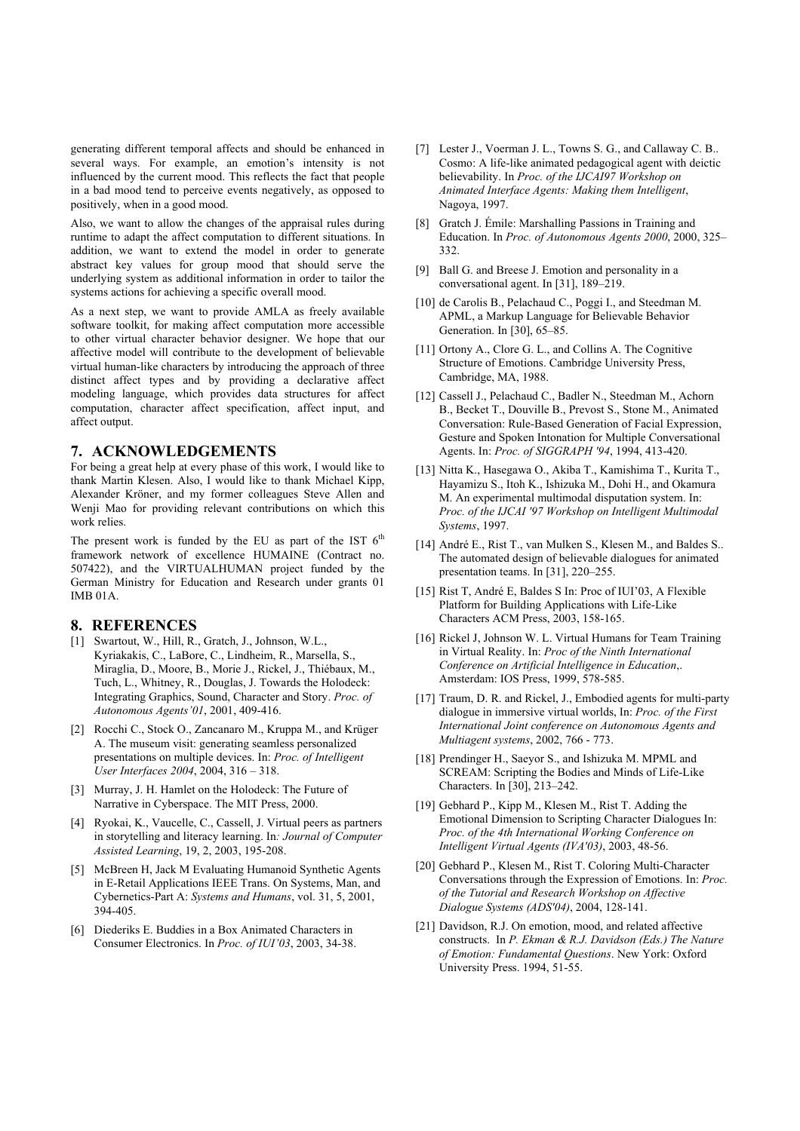generating different temporal affects and should be enhanced in several ways. For example, an emotion's intensity is not influenced by the current mood. This reflects the fact that people in a bad mood tend to perceive events negatively, as opposed to positively, when in a good mood.

Also, we want to allow the changes of the appraisal rules during runtime to adapt the affect computation to different situations. In addition, we want to extend the model in order to generate abstract key values for group mood that should serve the underlying system as additional information in order to tailor the systems actions for achieving a specific overall mood.

As a next step, we want to provide AMLA as freely available software toolkit, for making affect computation more accessible to other virtual character behavior designer. We hope that our affective model will contribute to the development of believable virtual human-like characters by introducing the approach of three distinct affect types and by providing a declarative affect modeling language, which provides data structures for affect computation, character affect specification, affect input, and affect output.

## **7. ACKNOWLEDGEMENTS**

For being a great help at every phase of this work, I would like to thank Martin Klesen. Also, I would like to thank Michael Kipp, Alexander Kröner, and my former colleagues Steve Allen and Wenji Mao for providing relevant contributions on which this work relies.

The present work is funded by the EU as part of the IST  $6<sup>th</sup>$ framework network of excellence HUMAINE (Contract no. 507422), and the VIRTUALHUMAN project funded by the German Ministry for Education and Research under grants 01 IMB 01A.

## **8. REFERENCES**

- [1] Swartout, W., Hill, R., Gratch, J., Johnson, W.L., Kyriakakis, C., LaBore, C., Lindheim, R., Marsella, S., Miraglia, D., Moore, B., Morie J., Rickel, J., Thiébaux, M., Tuch, L., Whitney, R., Douglas, J. Towards the Holodeck: Integrating Graphics, Sound, Character and Story. *Proc. of Autonomous Agents'01*, 2001, 409-416.
- [2] Rocchi C., Stock O., Zancanaro M., Kruppa M., and Krüger A. The museum visit: generating seamless personalized presentations on multiple devices. In: *Proc. of Intelligent User Interfaces 2004*, 2004, 316 – 318.
- [3] Murray, J. H. Hamlet on the Holodeck: The Future of Narrative in Cyberspace. The MIT Press, 2000.
- [4] Ryokai, K., Vaucelle, C., Cassell, J. Virtual peers as partners in storytelling and literacy learning. In*: Journal of Computer Assisted Learning*, 19, 2, 2003, 195-208.
- [5] McBreen H, Jack M Evaluating Humanoid Synthetic Agents in E-Retail Applications IEEE Trans. On Systems, Man, and Cybernetics-Part A: *Systems and Humans*, vol. 31, 5, 2001, 394-405.
- [6] Diederiks E. Buddies in a Box Animated Characters in Consumer Electronics. In *Proc. of IUI'03*, 2003, 34-38.
- [7] Lester J., Voerman J. L., Towns S. G., and Callaway C. B.. Cosmo: A life-like animated pedagogical agent with deictic believability. In *Proc. of the IJCAI97 Workshop on Animated Interface Agents: Making them Intelligent*, Nagoya, 1997.
- [8] Gratch J. Émile: Marshalling Passions in Training and Education. In *Proc. of Autonomous Agents 2000*, 2000, 325– 332.
- [9] Ball G. and Breese J. Emotion and personality in a conversational agent. In [31], 189–219.
- [10] de Carolis B., Pelachaud C., Poggi I., and Steedman M. APML, a Markup Language for Believable Behavior Generation. In [30], 65–85.
- [11] Ortony A., Clore G. L., and Collins A. The Cognitive Structure of Emotions. Cambridge University Press, Cambridge, MA, 1988.
- [12] Cassell J., Pelachaud C., Badler N., Steedman M., Achorn B., Becket T., Douville B., Prevost S., Stone M., Animated Conversation: Rule-Based Generation of Facial Expression, Gesture and Spoken Intonation for Multiple Conversational Agents. In: *Proc. of SIGGRAPH '94*, 1994, 413-420.
- [13] Nitta K., Hasegawa O., Akiba T., Kamishima T., Kurita T., Hayamizu S., Itoh K., Ishizuka M., Dohi H., and Okamura M. An experimental multimodal disputation system. In: *Proc. of the IJCAI '97 Workshop on Intelligent Multimodal Systems*, 1997.
- [14] André E., Rist T., van Mulken S., Klesen M., and Baldes S.. The automated design of believable dialogues for animated presentation teams. In [31], 220–255.
- [15] Rist T, André E, Baldes S In: Proc of IUI'03, A Flexible Platform for Building Applications with Life-Like Characters ACM Press, 2003, 158-165.
- [16] Rickel J, Johnson W. L. Virtual Humans for Team Training in Virtual Reality. In: *Proc of the Ninth International Conference on Artificial Intelligence in Education*,. Amsterdam: IOS Press, 1999, 578-585.
- [17] Traum, D. R. and Rickel, J., Embodied agents for multi-party dialogue in immersive virtual worlds, In: *Proc. of the First International Joint conference on Autonomous Agents and Multiagent systems*, 2002, 766 - 773.
- [18] Prendinger H., Saeyor S., and Ishizuka M. MPML and SCREAM: Scripting the Bodies and Minds of Life-Like Characters. In [30], 213–242.
- [19] Gebhard P., Kipp M., Klesen M., Rist T. Adding the Emotional Dimension to Scripting Character Dialogues In: *Proc. of the 4th International Working Conference on Intelligent Virtual Agents (IVA'03)*, 2003, 48-56.
- [20] Gebhard P., Klesen M., Rist T. Coloring Multi-Character Conversations through the Expression of Emotions. In: *Proc. of the Tutorial and Research Workshop on Affective Dialogue Systems (ADS'04)*, 2004, 128-141.
- [21] Davidson, R.J. On emotion, mood, and related affective constructs. In *P. Ekman & R.J. Davidson (Eds.) The Nature of Emotion: Fundamental Questions*. New York: Oxford University Press. 1994, 51-55.